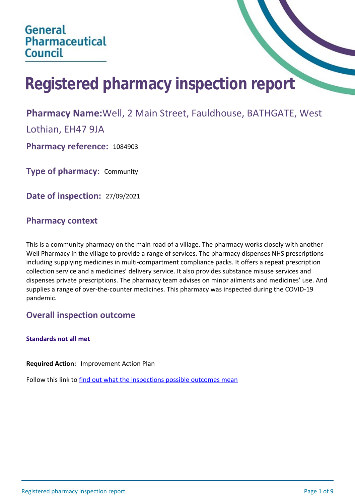# **Registered pharmacy inspection report**

## **Pharmacy Name:**Well, 2 Main Street, Fauldhouse, BATHGATE, West

Lothian, EH47 9JA

**Pharmacy reference:** 1084903

**Type of pharmacy:** Community

**Date of inspection:** 27/09/2021

## **Pharmacy context**

This is a community pharmacy on the main road of a village. The pharmacy works closely with another Well Pharmacy in the village to provide a range of services. The pharmacy dispenses NHS prescriptions including supplying medicines in multi-compartment compliance packs. It offers a repeat prescription collection service and a medicines' delivery service. It also provides substance misuse services and dispenses private prescriptions. The pharmacy team advises on minor ailments and medicines' use. And supplies a range of over-the-counter medicines. This pharmacy was inspected during the COVID-19 pandemic.

## **Overall inspection outcome**

## **Standards not all met**

**Required Action:** Improvement Action Plan

Follow this link to [find out what the inspections possible outcomes mean](#page-8-0)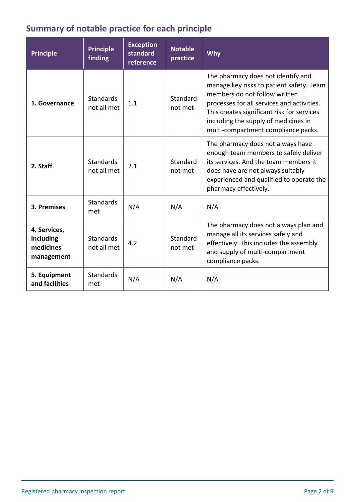# **Summary of notable practice for each principle**

| <b>Principle</b>                                     | <b>Principle</b><br>finding     | <b>Exception</b><br>standard<br>reference | <b>Notable</b><br>practice | Why                                                                                                                                                                                                                                                                                        |
|------------------------------------------------------|---------------------------------|-------------------------------------------|----------------------------|--------------------------------------------------------------------------------------------------------------------------------------------------------------------------------------------------------------------------------------------------------------------------------------------|
| 1. Governance                                        | Standards<br>not all met        | 1.1                                       | Standard<br>not met        | The pharmacy does not identify and<br>manage key risks to patient safety. Team<br>members do not follow written<br>processes for all services and activities.<br>This creates significant risk for services<br>including the supply of medicines in<br>multi-compartment compliance packs. |
| 2. Staff                                             | <b>Standards</b><br>not all met | 2.1                                       | Standard<br>not met        | The pharmacy does not always have<br>enough team members to safely deliver<br>its services. And the team members it<br>does have are not always suitably<br>experienced and qualified to operate the<br>pharmacy effectively.                                                              |
| 3. Premises                                          | <b>Standards</b><br>met         | N/A                                       | N/A                        | N/A                                                                                                                                                                                                                                                                                        |
| 4. Services,<br>including<br>medicines<br>management | <b>Standards</b><br>not all met | 4.2                                       | Standard<br>not met        | The pharmacy does not always plan and<br>manage all its services safely and<br>effectively. This includes the assembly<br>and supply of multi-compartment<br>compliance packs.                                                                                                             |
| 5. Equipment<br>and facilities                       | Standards<br>met                | N/A                                       | N/A                        | N/A                                                                                                                                                                                                                                                                                        |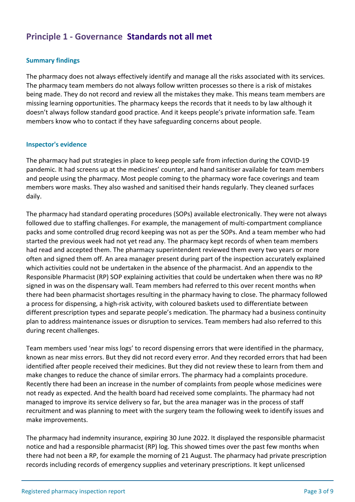## **Principle 1 - Governance Standards not all met**

### **Summary findings**

The pharmacy does not always effectively identify and manage all the risks associated with its services. The pharmacy team members do not always follow written processes so there is a risk of mistakes being made. They do not record and review all the mistakes they make. This means team members are missing learning opportunities. The pharmacy keeps the records that it needs to by law although it doesn't always follow standard good practice. And it keeps people's private information safe. Team members know who to contact if they have safeguarding concerns about people.

#### **Inspector's evidence**

The pharmacy had put strategies in place to keep people safe from infection during the COVID-19 pandemic. It had screens up at the medicines' counter, and hand sanitiser available for team members and people using the pharmacy. Most people coming to the pharmacy wore face coverings and team members wore masks. They also washed and sanitised their hands regularly. They cleaned surfaces daily.

The pharmacy had standard operating procedures (SOPs) available electronically. They were not always followed due to staffing challenges. For example, the management of multi-compartment compliance packs and some controlled drug record keeping was not as per the SOPs. And a team member who had started the previous week had not yet read any. The pharmacy kept records of when team members had read and accepted them. The pharmacy superintendent reviewed them every two years or more often and signed them off. An area manager present during part of the inspection accurately explained which activities could not be undertaken in the absence of the pharmacist. And an appendix to the Responsible Pharmacist (RP) SOP explaining activities that could be undertaken when there was no RP signed in was on the dispensary wall. Team members had referred to this over recent months when there had been pharmacist shortages resulting in the pharmacy having to close. The pharmacy followed a process for dispensing, a high-risk activity, with coloured baskets used to differentiate between different prescription types and separate people's medication. The pharmacy had a business continuity plan to address maintenance issues or disruption to services. Team members had also referred to this during recent challenges.

Team members used 'near miss logs' to record dispensing errors that were identified in the pharmacy, known as near miss errors. But they did not record every error. And they recorded errors that had been identified after people received their medicines. But they did not review these to learn from them and make changes to reduce the chance of similar errors. The pharmacy had a complaints procedure. Recently there had been an increase in the number of complaints from people whose medicines were not ready as expected. And the health board had received some complaints. The pharmacy had not managed to improve its service delivery so far, but the area manager was in the process of staff recruitment and was planning to meet with the surgery team the following week to identify issues and make improvements.

The pharmacy had indemnity insurance, expiring 30 June 2022. It displayed the responsible pharmacist notice and had a responsible pharmacist (RP) log. This showed times over the past few months when there had not been a RP, for example the morning of 21 August. The pharmacy had private prescription records including records of emergency supplies and veterinary prescriptions. It kept unlicensed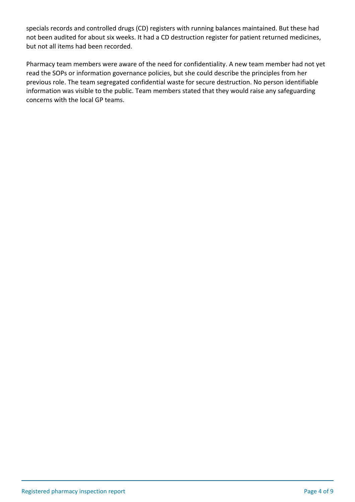specials records and controlled drugs (CD) registers with running balances maintained. But these had not been audited for about six weeks. It had a CD destruction register for patient returned medicines, but not all items had been recorded.

Pharmacy team members were aware of the need for confidentiality. A new team member had not yet read the SOPs or information governance policies, but she could describe the principles from her previous role. The team segregated confidential waste for secure destruction. No person identifiable information was visible to the public. Team members stated that they would raise any safeguarding concerns with the local GP teams.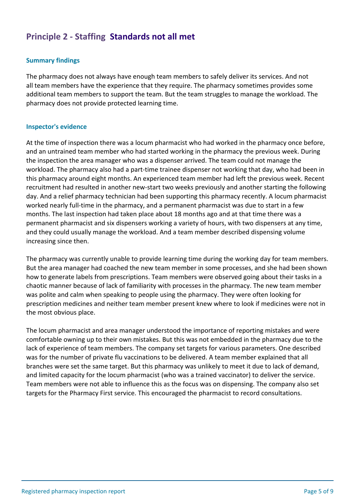## **Principle 2 - Staffing Standards not all met**

## **Summary findings**

The pharmacy does not always have enough team members to safely deliver its services. And not all team members have the experience that they require. The pharmacy sometimes provides some additional team members to support the team. But the team struggles to manage the workload. The pharmacy does not provide protected learning time.

#### **Inspector's evidence**

At the time of inspection there was a locum pharmacist who had worked in the pharmacy once before, and an untrained team member who had started working in the pharmacy the previous week. During the inspection the area manager who was a dispenser arrived. The team could not manage the workload. The pharmacy also had a part-time trainee dispenser not working that day, who had been in this pharmacy around eight months. An experienced team member had left the previous week. Recent recruitment had resulted in another new-start two weeks previously and another starting the following day. And a relief pharmacy technician had been supporting this pharmacy recently. A locum pharmacist worked nearly full-time in the pharmacy, and a permanent pharmacist was due to start in a few months. The last inspection had taken place about 18 months ago and at that time there was a permanent pharmacist and six dispensers working a variety of hours, with two dispensers at any time, and they could usually manage the workload. And a team member described dispensing volume increasing since then.

The pharmacy was currently unable to provide learning time during the working day for team members. But the area manager had coached the new team member in some processes, and she had been shown how to generate labels from prescriptions. Team members were observed going about their tasks in a chaotic manner because of lack of familiarity with processes in the pharmacy. The new team member was polite and calm when speaking to people using the pharmacy. They were often looking for prescription medicines and neither team member present knew where to look if medicines were not in the most obvious place.

The locum pharmacist and area manager understood the importance of reporting mistakes and were comfortable owning up to their own mistakes. But this was not embedded in the pharmacy due to the lack of experience of team members. The company set targets for various parameters. One described was for the number of private flu vaccinations to be delivered. A team member explained that all branches were set the same target. But this pharmacy was unlikely to meet it due to lack of demand, and limited capacity for the locum pharmacist (who was a trained vaccinator) to deliver the service. Team members were not able to influence this as the focus was on dispensing. The company also set targets for the Pharmacy First service. This encouraged the pharmacist to record consultations.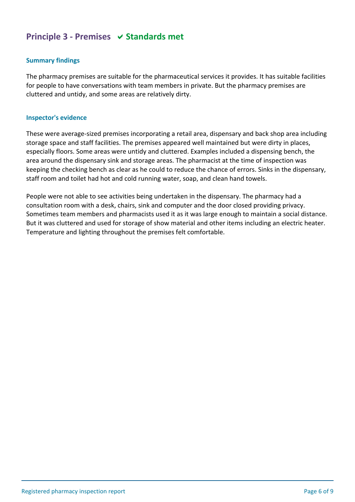## **Principle 3 - Premises**  $\vee$  **Standards met**

#### **Summary findings**

The pharmacy premises are suitable for the pharmaceutical services it provides. It has suitable facilities for people to have conversations with team members in private. But the pharmacy premises are cluttered and untidy, and some areas are relatively dirty.

#### **Inspector's evidence**

These were average-sized premises incorporating a retail area, dispensary and back shop area including storage space and staff facilities. The premises appeared well maintained but were dirty in places, especially floors. Some areas were untidy and cluttered. Examples included a dispensing bench, the area around the dispensary sink and storage areas. The pharmacist at the time of inspection was keeping the checking bench as clear as he could to reduce the chance of errors. Sinks in the dispensary, staff room and toilet had hot and cold running water, soap, and clean hand towels.

People were not able to see activities being undertaken in the dispensary. The pharmacy had a consultation room with a desk, chairs, sink and computer and the door closed providing privacy. Sometimes team members and pharmacists used it as it was large enough to maintain a social distance. But it was cluttered and used for storage of show material and other items including an electric heater. Temperature and lighting throughout the premises felt comfortable.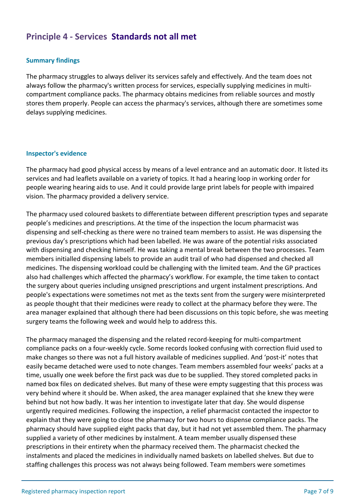## **Principle 4 - Services Standards not all met**

### **Summary findings**

The pharmacy struggles to always deliver its services safely and effectively. And the team does not always follow the pharmacy's written process for services, especially supplying medicines in multicompartment compliance packs. The pharmacy obtains medicines from reliable sources and mostly stores them properly. People can access the pharmacy's services, although there are sometimes some delays supplying medicines.

#### **Inspector's evidence**

The pharmacy had good physical access by means of a level entrance and an automatic door. It listed its services and had leaflets available on a variety of topics. It had a hearing loop in working order for people wearing hearing aids to use. And it could provide large print labels for people with impaired vision. The pharmacy provided a delivery service.

The pharmacy used coloured baskets to differentiate between different prescription types and separate people's medicines and prescriptions. At the time of the inspection the locum pharmacist was dispensing and self-checking as there were no trained team members to assist. He was dispensing the previous day's prescriptions which had been labelled. He was aware of the potential risks associated with dispensing and checking himself. He was taking a mental break between the two processes. Team members initialled dispensing labels to provide an audit trail of who had dispensed and checked all medicines. The dispensing workload could be challenging with the limited team. And the GP practices also had challenges which affected the pharmacy's workflow. For example, the time taken to contact the surgery about queries including unsigned prescriptions and urgent instalment prescriptions. And people's expectations were sometimes not met as the texts sent from the surgery were misinterpreted as people thought that their medicines were ready to collect at the pharmacy before they were. The area manager explained that although there had been discussions on this topic before, she was meeting surgery teams the following week and would help to address this.

The pharmacy managed the dispensing and the related record-keeping for multi-compartment compliance packs on a four-weekly cycle. Some records looked confusing with correction fluid used to make changes so there was not a full history available of medicines supplied. And 'post-it' notes that easily became detached were used to note changes. Team members assembled four weeks' packs at a time, usually one week before the first pack was due to be supplied. They stored completed packs in named box files on dedicated shelves. But many of these were empty suggesting that this process was very behind where it should be. When asked, the area manager explained that she knew they were behind but not how badly. It was her intention to investigate later that day. She would dispense urgently required medicines. Following the inspection, a relief pharmacist contacted the inspector to explain that they were going to close the pharmacy for two hours to dispense compliance packs. The pharmacy should have supplied eight packs that day, but it had not yet assembled them. The pharmacy supplied a variety of other medicines by instalment. A team member usually dispensed these prescriptions in their entirety when the pharmacy received them. The pharmacist checked the instalments and placed the medicines in individually named baskets on labelled shelves. But due to staffing challenges this process was not always being followed. Team members were sometimes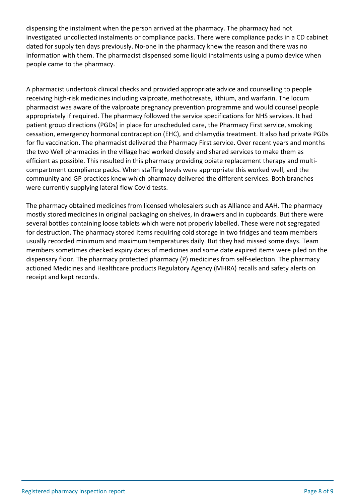dispensing the instalment when the person arrived at the pharmacy. The pharmacy had not investigated uncollected instalments or compliance packs. There were compliance packs in a CD cabinet dated for supply ten days previously. No-one in the pharmacy knew the reason and there was no information with them. The pharmacist dispensed some liquid instalments using a pump device when people came to the pharmacy.

A pharmacist undertook clinical checks and provided appropriate advice and counselling to people receiving high-risk medicines including valproate, methotrexate, lithium, and warfarin. The locum pharmacist was aware of the valproate pregnancy prevention programme and would counsel people appropriately if required. The pharmacy followed the service specifications for NHS services. It had patient group directions (PGDs) in place for unscheduled care, the Pharmacy First service, smoking cessation, emergency hormonal contraception (EHC), and chlamydia treatment. It also had private PGDs for flu vaccination. The pharmacist delivered the Pharmacy First service. Over recent years and months the two Well pharmacies in the village had worked closely and shared services to make them as efficient as possible. This resulted in this pharmacy providing opiate replacement therapy and multicompartment compliance packs. When staffing levels were appropriate this worked well, and the community and GP practices knew which pharmacy delivered the different services. Both branches were currently supplying lateral flow Covid tests.

The pharmacy obtained medicines from licensed wholesalers such as Alliance and AAH. The pharmacy mostly stored medicines in original packaging on shelves, in drawers and in cupboards. But there were several bottles containing loose tablets which were not properly labelled. These were not segregated for destruction. The pharmacy stored items requiring cold storage in two fridges and team members usually recorded minimum and maximum temperatures daily. But they had missed some days. Team members sometimes checked expiry dates of medicines and some date expired items were piled on the dispensary floor. The pharmacy protected pharmacy (P) medicines from self-selection. The pharmacy actioned Medicines and Healthcare products Regulatory Agency (MHRA) recalls and safety alerts on receipt and kept records.